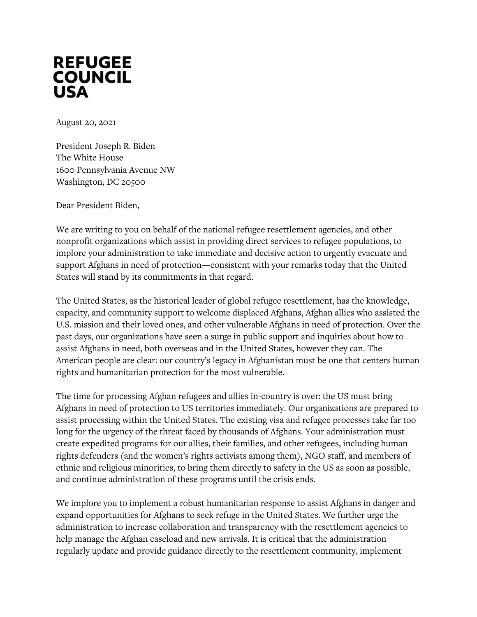

August 20, 2021

President Joseph R. Biden The White House 1600 Pennsylvania Avenue NW Washington, DC 20500

Dear President Biden,

We are writing to you on behalf of the national refugee resettlement agencies, and other nonprofit organizations which assist in providing direct services to refugee populations, to implore your administration to take immediate and decisive action to urgently evacuate and support Afghans in need of protection—consistent with your remarks today that the United States will stand by its commitments in that regard.

The United States, as the historical leader of global refugee resettlement, has the knowledge, capacity, and community support to welcome displaced Afghans, Afghan allies who assisted the U.S. mission and their loved ones, and other vulnerable Afghans in need of protection. Over the past days, our organizations have seen a surge in public support and inquiries about how to assist Afghans in need, both overseas and in the United States, however they can. The American people are clear: our country's legacy in Afghanistan must be one that centers human rights and humanitarian protection for the most vulnerable.

The time for processing Afghan refugees and allies in-country is over: the US must bring Afghans in need of protection to US territories immediately. Our organizations are prepared to assist processing within the United States. The existing visa and refugee processes take far too long for the urgency of the threat faced by thousands of Afghans. Your administration must create expedited programs for our allies, their families, and other refugees, including human rights defenders (and the women's rights activists among them), NGO staff, and members of ethnic and religious minorities, to bring them directly to safety in the US as soon as possible, and continue administration of these programs until the crisis ends.

We implore you to implement a robust humanitarian response to assist Afghans in danger and expand opportunities for Afghans to seek refuge in the United States. We further urge the administration to increase collaboration and transparency with the resettlement agencies to help manage the Afghan caseload and new arrivals. It is critical that the administration regularly update and provide guidance directly to the resettlement community, implement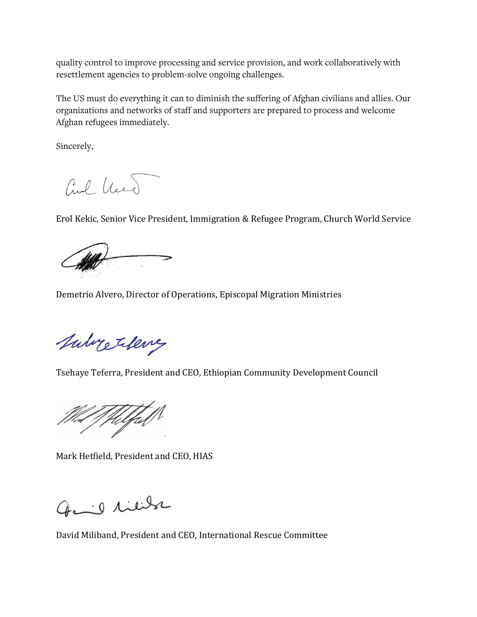quality control to improve processing and service provision, and work collaboratively with resettlement agencies to problem-solve ongoing challenges.

The US must do everything it can to diminish the suffering of Afghan civilians and allies. Our organizations and networks of staff and supporters are prepared to process and welcome Afghan refugees immediately.

Sincerely,

and hed

Erol Kekic, Senior Vice President, Immigration & Refugee Program, Church World Service



Demetrio Alvero, Director of Operations, Episcopal Migration Ministries

Subretilence

Tsehaye Teferra, President and CEO, Ethiopian Community Development Council

Welfal

Mark Hetfield, President and CEO, HIAS

Gail liebe

David Miliband, President and CEO, International Rescue Committee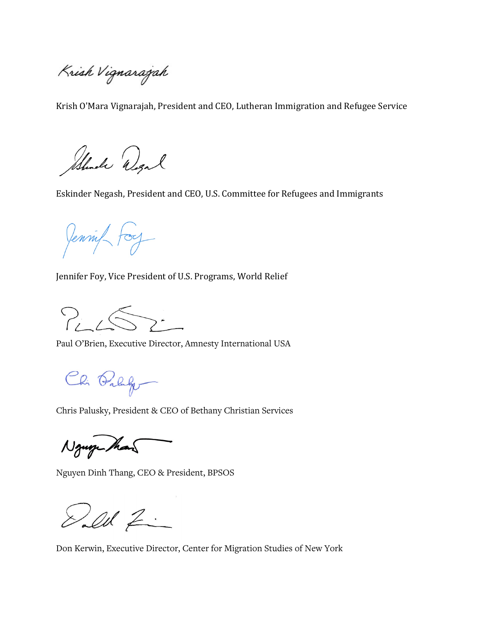Krish Vignarajah

Krish O'Mara Vignarajah, President and CEO, Lutheran Immigration and Refugee Service

Should Wend

Eskinder Negash, President and CEO, U.S. Committee for Refugees and Immigrants

Jennif Foy

Jennifer Foy, Vice President of U.S. Programs, World Relief

 $P_{i}$ ,  $\leftarrow$ .

Paul O'Brien, Executive Director, Amnesty International USA

Chi Palago

Chris Palusky, President & CEO of Bethany Christian Services

Nguy Man

Nguyen Dinh Thang, CEO & President, BPSOS

Del Z

Don Kerwin, Executive Director, Center for Migration Studies of New York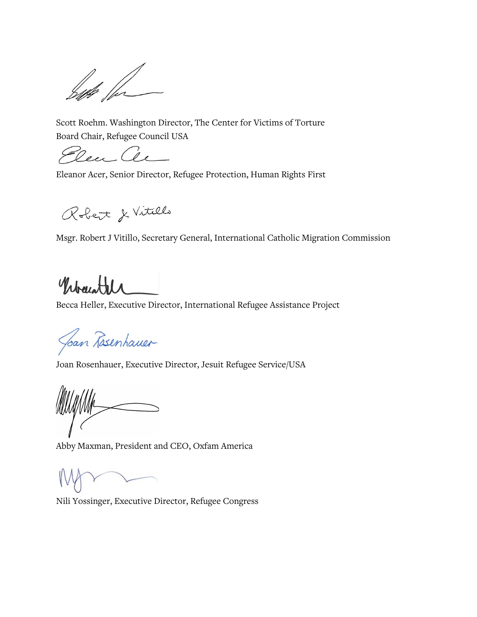but for

Scott Roehm. Washington Director, The Center for Victims of Torture Board Chair, Refugee Council USA

Rea Ce

Eleanor Acer, Senior Director, Refugee Protection, Human Rights First

Robert & Vitillo

Msgr. Robert J Vitillo, Secretary General, International Catholic Migration Commission

Wrawth

Becca Heller, Executive Director, International Refugee Assistance Project

Joan Rosenhauer

Joan Rosenhauer, Executive Director, Jesuit Refugee Service/USA

Abby Maxman, President and CEO, Oxfam America

Nili Yossinger, Executive Director, Refugee Congress